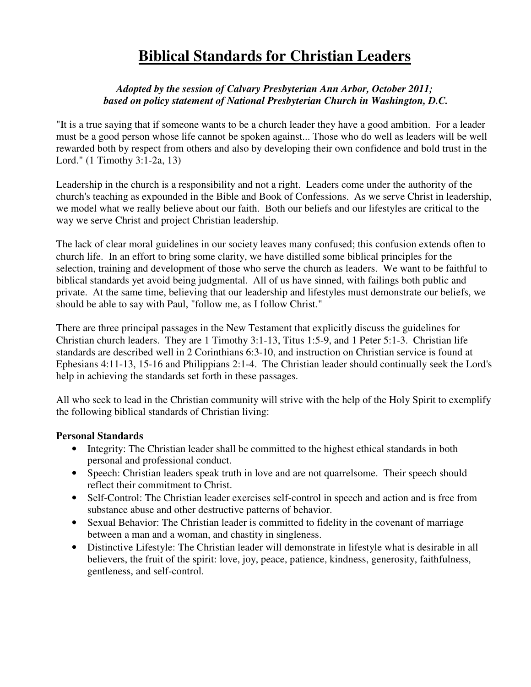# **Biblical Standards for Christian Leaders**

## *Adopted by the session of Calvary Presbyterian Ann Arbor, October 2011; based on policy statement of National Presbyterian Church in Washington, D.C.*

"It is a true saying that if someone wants to be a church leader they have a good ambition. For a leader must be a good person whose life cannot be spoken against... Those who do well as leaders will be well rewarded both by respect from others and also by developing their own confidence and bold trust in the Lord." (1 Timothy 3:1-2a, 13)

Leadership in the church is a responsibility and not a right. Leaders come under the authority of the church's teaching as expounded in the Bible and Book of Confessions. As we serve Christ in leadership, we model what we really believe about our faith. Both our beliefs and our lifestyles are critical to the way we serve Christ and project Christian leadership.

The lack of clear moral guidelines in our society leaves many confused; this confusion extends often to church life. In an effort to bring some clarity, we have distilled some biblical principles for the selection, training and development of those who serve the church as leaders. We want to be faithful to biblical standards yet avoid being judgmental. All of us have sinned, with failings both public and private. At the same time, believing that our leadership and lifestyles must demonstrate our beliefs, we should be able to say with Paul, "follow me, as I follow Christ."

There are three principal passages in the New Testament that explicitly discuss the guidelines for Christian church leaders. They are 1 Timothy 3:1-13, Titus 1:5-9, and 1 Peter 5:1-3. Christian life standards are described well in 2 Corinthians 6:3-10, and instruction on Christian service is found at Ephesians 4:11-13, 15-16 and Philippians 2:1-4. The Christian leader should continually seek the Lord's help in achieving the standards set forth in these passages.

All who seek to lead in the Christian community will strive with the help of the Holy Spirit to exemplify the following biblical standards of Christian living:

## **Personal Standards**

- Integrity: The Christian leader shall be committed to the highest ethical standards in both personal and professional conduct.
- Speech: Christian leaders speak truth in love and are not quarrelsome. Their speech should reflect their commitment to Christ.
- Self-Control: The Christian leader exercises self-control in speech and action and is free from substance abuse and other destructive patterns of behavior.
- Sexual Behavior: The Christian leader is committed to fidelity in the covenant of marriage between a man and a woman, and chastity in singleness.
- Distinctive Lifestyle: The Christian leader will demonstrate in lifestyle what is desirable in all believers, the fruit of the spirit: love, joy, peace, patience, kindness, generosity, faithfulness, gentleness, and self-control.